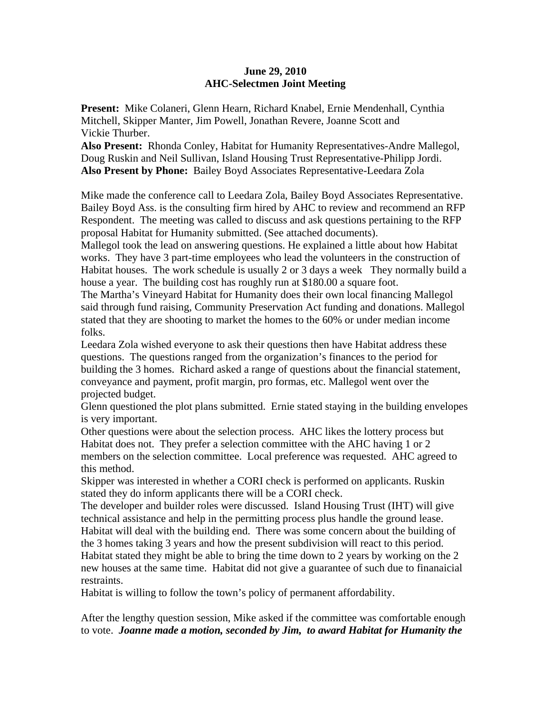## **June 29, 2010 AHC-Selectmen Joint Meeting**

**Present:** Mike Colaneri, Glenn Hearn, Richard Knabel, Ernie Mendenhall, Cynthia Mitchell, Skipper Manter, Jim Powell, Jonathan Revere, Joanne Scott and Vickie Thurber.

**Also Present:** Rhonda Conley, Habitat for Humanity Representatives-Andre Mallegol, Doug Ruskin and Neil Sullivan, Island Housing Trust Representative-Philipp Jordi. **Also Present by Phone:** Bailey Boyd Associates Representative-Leedara Zola

Mike made the conference call to Leedara Zola, Bailey Boyd Associates Representative. Bailey Boyd Ass. is the consulting firm hired by AHC to review and recommend an RFP Respondent. The meeting was called to discuss and ask questions pertaining to the RFP proposal Habitat for Humanity submitted. (See attached documents).

Mallegol took the lead on answering questions. He explained a little about how Habitat works. They have 3 part-time employees who lead the volunteers in the construction of Habitat houses. The work schedule is usually 2 or 3 days a week They normally build a house a year. The building cost has roughly run at \$180.00 a square foot.

The Martha's Vineyard Habitat for Humanity does their own local financing Mallegol said through fund raising, Community Preservation Act funding and donations. Mallegol stated that they are shooting to market the homes to the 60% or under median income folks.

Leedara Zola wished everyone to ask their questions then have Habitat address these questions. The questions ranged from the organization's finances to the period for building the 3 homes. Richard asked a range of questions about the financial statement, conveyance and payment, profit margin, pro formas, etc. Mallegol went over the projected budget.

Glenn questioned the plot plans submitted. Ernie stated staying in the building envelopes is very important.

Other questions were about the selection process. AHC likes the lottery process but Habitat does not. They prefer a selection committee with the AHC having 1 or 2 members on the selection committee. Local preference was requested. AHC agreed to this method.

Skipper was interested in whether a CORI check is performed on applicants. Ruskin stated they do inform applicants there will be a CORI check.

The developer and builder roles were discussed. Island Housing Trust (IHT) will give technical assistance and help in the permitting process plus handle the ground lease. Habitat will deal with the building end. There was some concern about the building of the 3 homes taking 3 years and how the present subdivision will react to this period. Habitat stated they might be able to bring the time down to 2 years by working on the 2 new houses at the same time. Habitat did not give a guarantee of such due to finanaicial restraints.

Habitat is willing to follow the town's policy of permanent affordability.

After the lengthy question session, Mike asked if the committee was comfortable enough to vote. *Joanne made a motion, seconded by Jim, to award Habitat for Humanity the*